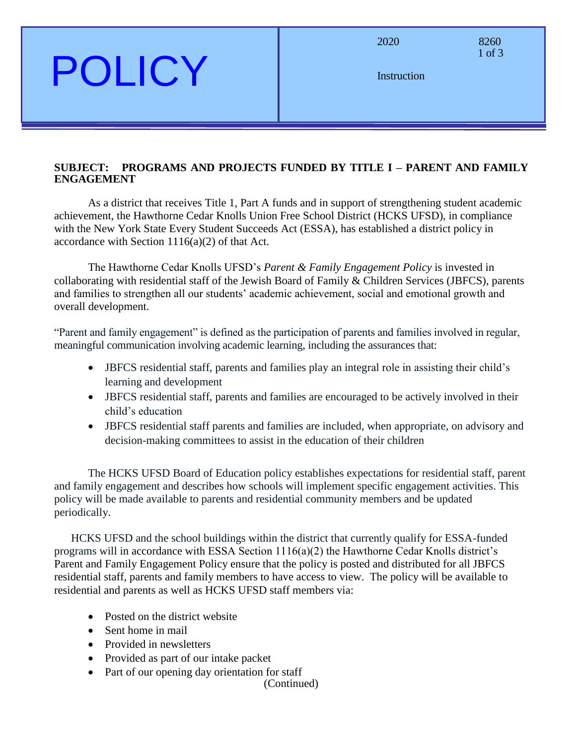### POLICY

1 of 3

Instruction

#### **SUBJECT: PROGRAMS AND PROJECTS FUNDED BY TITLE I – PARENT AND FAMILY ENGAGEMENT**

As a district that receives Title 1, Part A funds and in support of strengthening student academic achievement, the Hawthorne Cedar Knolls Union Free School District (HCKS UFSD), in compliance with the New York State Every Student Succeeds Act (ESSA), has established a district policy in accordance with Section 1116(a)(2) of that Act.

The Hawthorne Cedar Knolls UFSD's *Parent & Family Engagement Policy* is invested in collaborating with residential staff of the Jewish Board of Family & Children Services (JBFCS), parents and families to strengthen all our students' academic achievement, social and emotional growth and overall development.

"Parent and family engagement" is defined as the participation of parents and families involved in regular, meaningful communication involving academic learning, including the assurances that:

- JBFCS residential staff, parents and families play an integral role in assisting their child's learning and development
- JBFCS residential staff, parents and families are encouraged to be actively involved in their child's education
- JBFCS residential staff parents and families are included, when appropriate, on advisory and decision-making committees to assist in the education of their children

The HCKS UFSD Board of Education policy establishes expectations for residential staff, parent and family engagement and describes how schools will implement specific engagement activities. This policy will be made available to parents and residential community members and be updated periodically.

HCKS UFSD and the school buildings within the district that currently qualify for ESSA-funded programs will in accordance with ESSA Section 1116(a)(2) the Hawthorne Cedar Knolls district's Parent and Family Engagement Policy ensure that the policy is posted and distributed for all JBFCS residential staff, parents and family members to have access to view. The policy will be available to residential and parents as well as HCKS UFSD staff members via:

- Posted on the district website
- Sent home in mail
- Provided in newsletters
- Provided as part of our intake packet
- Part of our opening day orientation for staff

(Continued)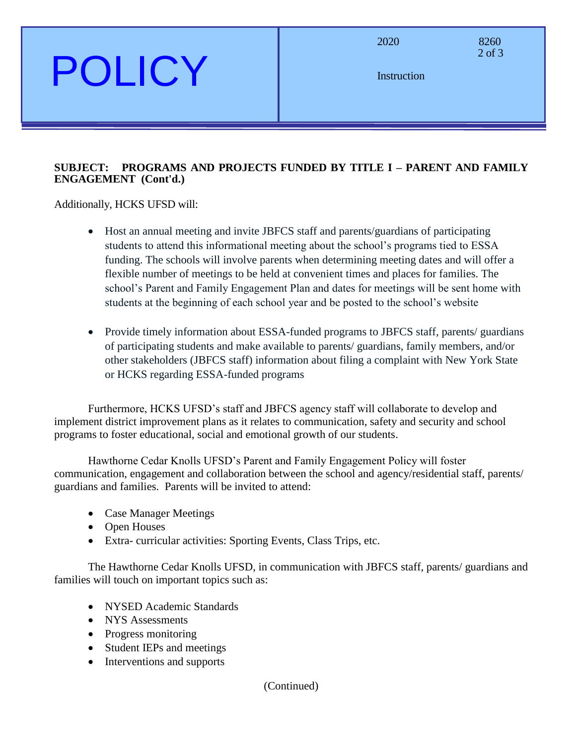# POLICY

2020 8260

2 of 3

**Instruction** 

#### **SUBJECT: PROGRAMS AND PROJECTS FUNDED BY TITLE I – PARENT AND FAMILY ENGAGEMENT (Cont'd.)**

Additionally, HCKS UFSD will:

- Host an annual meeting and invite JBFCS staff and parents/guardians of participating students to attend this informational meeting about the school's programs tied to ESSA funding. The schools will involve parents when determining meeting dates and will offer a flexible number of meetings to be held at convenient times and places for families. The school's Parent and Family Engagement Plan and dates for meetings will be sent home with students at the beginning of each school year and be posted to the school's website
- Provide timely information about ESSA-funded programs to JBFCS staff, parents/ guardians of participating students and make available to parents/ guardians, family members, and/or other stakeholders (JBFCS staff) information about filing a complaint with New York State or HCKS regarding ESSA-funded programs

Furthermore, HCKS UFSD's staff and JBFCS agency staff will collaborate to develop and implement district improvement plans as it relates to communication, safety and security and school programs to foster educational, social and emotional growth of our students.

Hawthorne Cedar Knolls UFSD's Parent and Family Engagement Policy will foster communication, engagement and collaboration between the school and agency/residential staff, parents/ guardians and families. Parents will be invited to attend:

- Case Manager Meetings
- Open Houses
- Extra- curricular activities: Sporting Events, Class Trips, etc.

The Hawthorne Cedar Knolls UFSD, in communication with JBFCS staff, parents/ guardians and families will touch on important topics such as:

- NYSED Academic Standards
- NYS Assessments
- Progress monitoring
- Student IEPs and meetings
- Interventions and supports